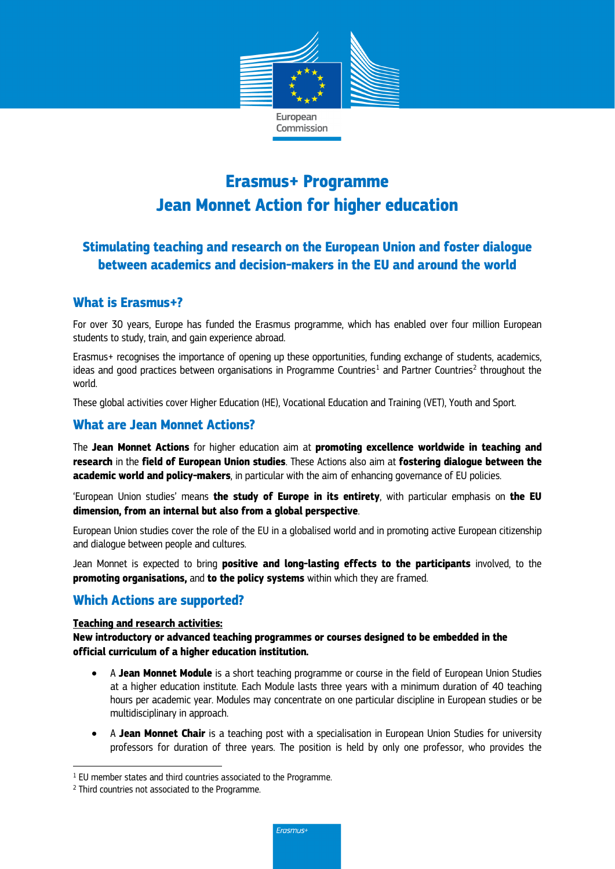

# **Erasmus+ Programme Jean Monnet Action for higher education**

# **Stimulating teaching and research on the European Union and foster dialogue between academics and decision-makers in the EU and around the world**

### **What is Erasmus+?**

For over 30 years, Europe has funded the Erasmus programme, which has enabled over four million European students to study, train, and gain experience abroad.

Erasmus+ recognises the importance of opening up these opportunities, funding exchange of students, academics, ideas and good practices between organisations in Programme Countries<sup>[1](#page-0-0)</sup> and Partner Countries<sup>[2](#page-0-1)</sup> throughout the world.

These global activities cover Higher Education (HE), Vocational Education and Training (VET), Youth and Sport.

## **What are Jean Monnet Actions?**

The **Jean Monnet Actions** for higher education aim at **promoting excellence worldwide in teaching and research** in the **field of European Union studies**. These Actions also aim at **fostering dialogue between the academic world and policy-makers**, in particular with the aim of enhancing governance of EU policies.

'European Union studies' means **the study of Europe in its entirety**, with particular emphasis on **the EU dimension, from an internal but also from a global perspective**.

European Union studies cover the role of the EU in a globalised world and in promoting active European citizenship and dialogue between people and cultures.

Jean Monnet is expected to bring **positive and long-lasting effects to the participants** involved, to the **promoting organisations,** and **to the policy systems** within which they are framed.

#### **Which Actions are supported?**

#### **Teaching and research activities:**

**New introductory or advanced teaching programmes or courses designed to be embedded in the official curriculum of a higher education institution.**

- A **Jean Monnet Module** is a short teaching programme or course in the field of European Union Studies at a higher education institute. Each Module lasts three years with a minimum duration of 40 teaching hours per academic year. Modules may concentrate on one particular discipline in European studies or be multidisciplinary in approach.
- A **Jean Monnet Chair** is a teaching post with a specialisation in European Union Studies for university professors for duration of three years. The position is held by only one professor, who provides the

l

<span id="page-0-0"></span> $1$  EU member states and third countries associated to the Programme.

<span id="page-0-1"></span><sup>2</sup> Third countries not associated to the Programme.